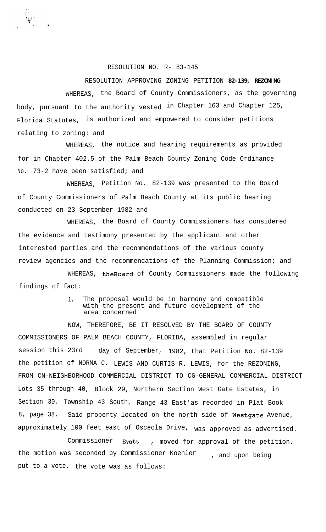## RESOLUTION NO. R- 83-145

## RESOLUTION APPROVING ZONING PETITION **82-139, REZONING**

WHEREAS, the Board of County Commissioners, as the governing body, pursuant to the authority vested in Chapter 163 and Chapter 125, Florida Statutes, is authorized and empowered to consider petitions relating to zoning: and

WHEREAS, the notice and hearing requirements as provided for in Chapter 402.5 of the Palm Beach County Zoning Code Ordinance No. 73-2 have been satisfied; and

WHEREAS, Petition No. 82-139 was presented to the Board of County Commissioners of Palm Beach County at its public hearing conducted on 23 September 1982 and

WHEREAS, the Board of County Commissioners has considered the evidence and testimony presented by the applicant and other interested parties and the recommendations of the various county review agencies and the recommendations of the Planning Commission; and

WHEREAS, theBoard of County Commissioners made the following findings of fact:

## 1. The proposal would be in harmony and compatible with the present and future development of the area concerned

NOW, THEREFORE, BE IT RESOLVED BY THE BOARD OF COUNTY COMMISSIONERS OF PALM BEACH COUNTY, FLORIDA, assembled in regular session this 23rd day of September, 1982, that Petition No. 82-139 the petition of NORMA C. LEWIS AND CURTIS R. LEWIS, for the REZONING, FROM CN-NEIGHBORHOOD COMMERCIAL DISTRICT TO CG-GENERAL COMMERCIAL DISTRICT Lots 35 through 40, Block 29, Northern Section West Gate Estates, in Section 30, Township 43 South, Range 43 East'as recorded in Plat Book 8, page 38. Said property located on the north side of Westgate Avenue, approximately 100 feet east of Osceola Drive, was approved as advertised.

Commissioner Evatt , moved for approval of the petition. the motion was seconded by Commissioner Koehler , and upon being put to a vote, the vote was as follows: